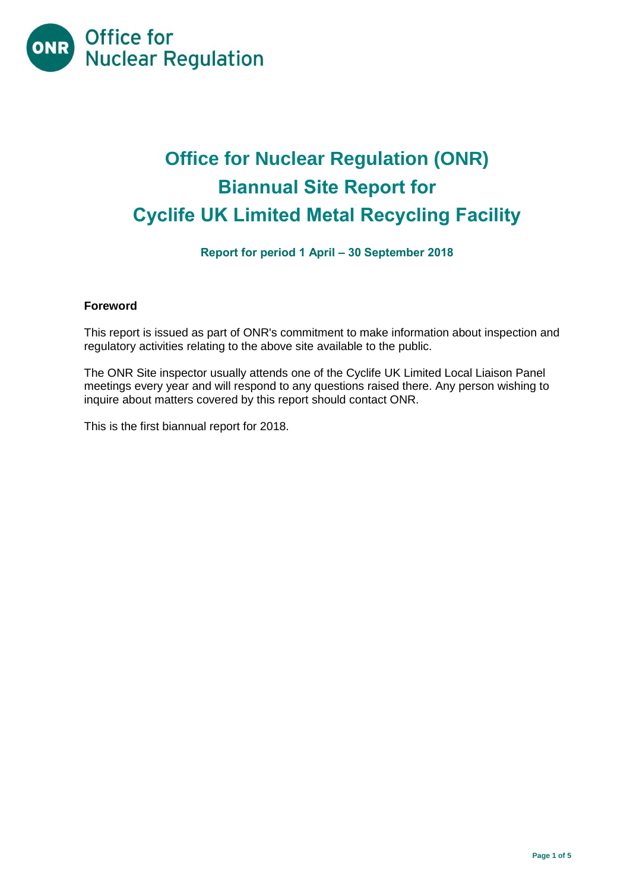

# **Office for Nuclear Regulation (ONR) Biannual Site Report for Cyclife UK Limited Metal Recycling Facility**

# **Report for period 1 April – 30 September 2018**

## **Foreword**

This report is issued as part of ONR's commitment to make information about inspection and regulatory activities relating to the above site available to the public.

The ONR Site inspector usually attends one of the Cyclife UK Limited Local Liaison Panel meetings every year and will respond to any questions raised there. Any person wishing to inquire about matters covered by this report should contact ONR.

This is the first biannual report for 2018.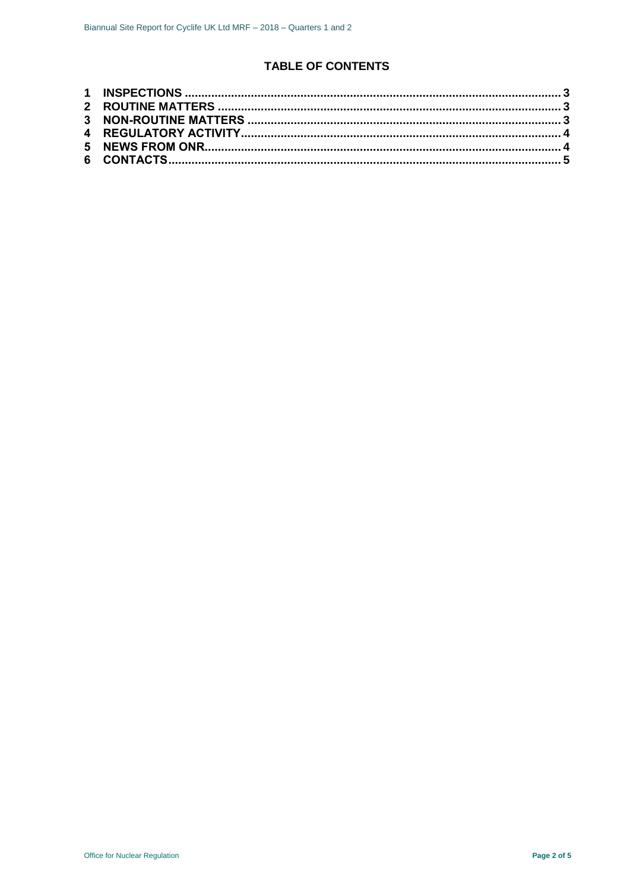# **TABLE OF CONTENTS**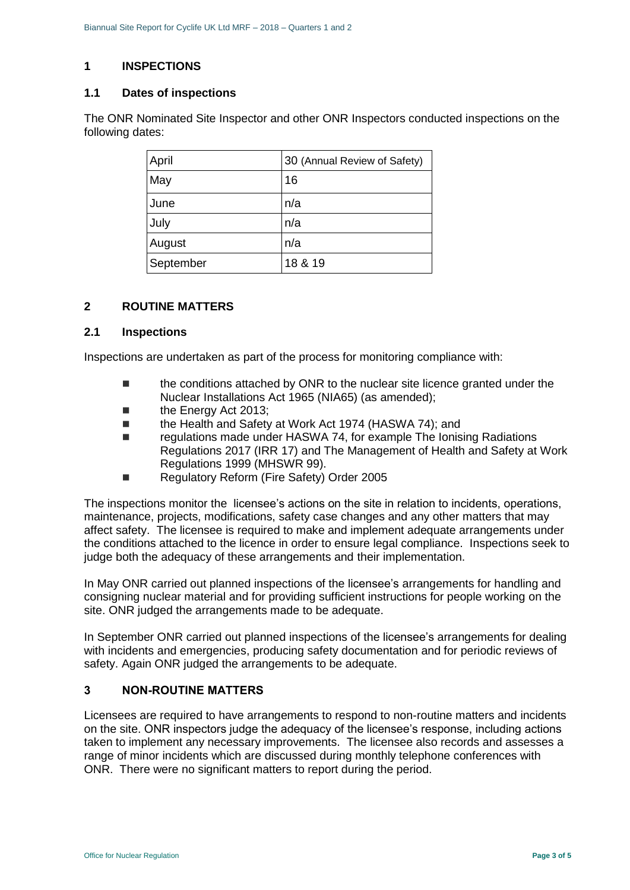# <span id="page-2-0"></span>**1 INSPECTIONS**

#### **1.1 Dates of inspections**

The ONR Nominated Site Inspector and other ONR Inspectors conducted inspections on the following dates:

| April     | 30 (Annual Review of Safety) |
|-----------|------------------------------|
| May       | 16                           |
| June      | n/a                          |
| July      | n/a                          |
| August    | n/a                          |
| September | 18 & 19                      |

## <span id="page-2-1"></span>**2 ROUTINE MATTERS**

#### **2.1 Inspections**

Inspections are undertaken as part of the process for monitoring compliance with:

- the conditions attached by ONR to the nuclear site licence granted under the Nuclear Installations Act 1965 (NIA65) (as amended);
- the Energy Act 2013;
- the Health and Safety at Work Act 1974 (HASWA 74): and
- regulations made under HASWA 74, for example The Ionising Radiations Regulations 2017 (IRR 17) and The Management of Health and Safety at Work Regulations 1999 (MHSWR 99).
- Regulatory Reform (Fire Safety) Order 2005

The inspections monitor the licensee's actions on the site in relation to incidents, operations, maintenance, projects, modifications, safety case changes and any other matters that may affect safety. The licensee is required to make and implement adequate arrangements under the conditions attached to the licence in order to ensure legal compliance. Inspections seek to judge both the adequacy of these arrangements and their implementation.

In May ONR carried out planned inspections of the licensee's arrangements for handling and consigning nuclear material and for providing sufficient instructions for people working on the site. ONR judged the arrangements made to be adequate.

In September ONR carried out planned inspections of the licensee's arrangements for dealing with incidents and emergencies, producing safety documentation and for periodic reviews of safety. Again ONR judged the arrangements to be adequate.

## <span id="page-2-2"></span>**3 NON-ROUTINE MATTERS**

Licensees are required to have arrangements to respond to non-routine matters and incidents on the site. ONR inspectors judge the adequacy of the licensee's response, including actions taken to implement any necessary improvements. The licensee also records and assesses a range of minor incidents which are discussed during monthly telephone conferences with ONR. There were no significant matters to report during the period.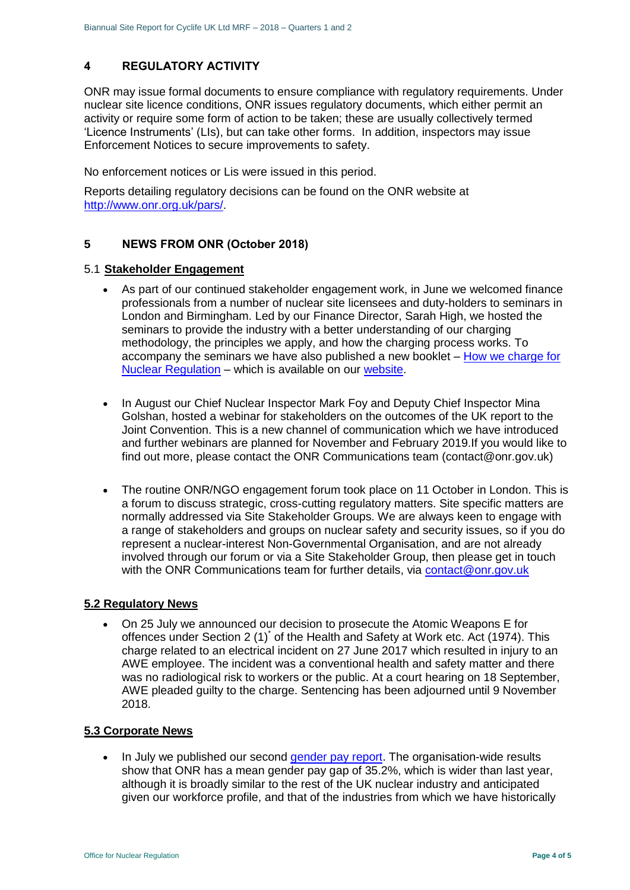# <span id="page-3-0"></span>**4 REGULATORY ACTIVITY**

ONR may issue formal documents to ensure compliance with regulatory requirements. Under nuclear site licence conditions, ONR issues regulatory documents, which either permit an activity or require some form of action to be taken; these are usually collectively termed 'Licence Instruments' (LIs), but can take other forms. In addition, inspectors may issue Enforcement Notices to secure improvements to safety.

No enforcement notices or Lis were issued in this period.

Reports detailing regulatory decisions can be found on the ONR website at [http://www.onr.org.uk/pars/.](http://www.onr.org.uk/pars/)

## <span id="page-3-1"></span>**5 NEWS FROM ONR (October 2018)**

#### 5.1 **Stakeholder Engagement**

- As part of our continued stakeholder engagement work, in June we welcomed finance professionals from a number of nuclear site licensees and duty-holders to seminars in London and Birmingham. Led by our Finance Director, Sarah High, we hosted the seminars to provide the industry with a better understanding of our charging methodology, the principles we apply, and how the charging process works. To accompany the seminars we have also published a new booklet – [How we charge for](http://www.onr.org.uk/documents/2018/how-we-charge-for-nuclear-regulation.pdf)  [Nuclear Regulation](http://www.onr.org.uk/documents/2018/how-we-charge-for-nuclear-regulation.pdf) – which is available on our [website.](http://www.onr.org.uk/documents/2018/how-we-charge-for-nuclear-regulation.pdf)
- In August our Chief Nuclear Inspector Mark Foy and Deputy Chief Inspector Mina Golshan, hosted a webinar for stakeholders on the outcomes of the UK report to the Joint Convention. This is a new channel of communication which we have introduced and further webinars are planned for November and February 2019.If you would like to find out more, please contact the ONR Communications team (contact@onr.gov.uk)
- The routine ONR/NGO engagement forum took place on 11 October in London. This is a forum to discuss strategic, cross-cutting regulatory matters. Site specific matters are normally addressed via Site Stakeholder Groups. We are always keen to engage with a range of stakeholders and groups on nuclear safety and security issues, so if you do represent a nuclear-interest Non-Governmental Organisation, and are not already involved through our forum or via a Site Stakeholder Group, then please get in touch with the ONR Communications team for further details, via [contact@onr.gov.uk](mailto:contact@onr.gov.uk)

# **5.2 Regulatory News**

 On 25 July we announced our decision to prosecute the Atomic Weapons E for offences under Section 2 (1)<sup>\*</sup> of the Health and Safety at Work etc. Act (1974). This charge related to an electrical incident on 27 June 2017 which resulted in injury to an AWE employee. The incident was a conventional health and safety matter and there was no radiological risk to workers or the public. At a court hearing on 18 September, AWE pleaded guilty to the charge. Sentencing has been adjourned until 9 November 2018.

#### **5.3 Corporate News**

In July we published our second [gender pay report.](http://news.onr.org.uk/2018/07/onr-publishes-second-gender-pay-report/) The organisation-wide results show that ONR has a mean gender pay gap of 35.2%, which is wider than last year, although it is broadly similar to the rest of the UK nuclear industry and anticipated given our workforce profile, and that of the industries from which we have historically